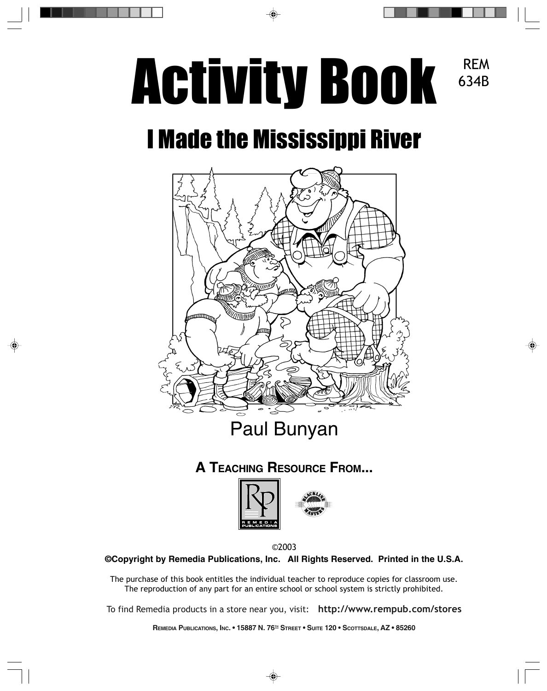## Activity Book REM 634B

# I Made the Mississippi River



### **A TEACHING RESOURCE FROM...**



©2003

**©Copyright by Remedia Publications, Inc. All Rights Reserved. Printed in the U.S.A.**

The purchase of this book entitles the individual teacher to reproduce copies for classroom use. The reproduction of any part for an entire school or school system is strictly prohibited.

To find Remedia products in a store near you, visit: **http://www.rempub.com/stores**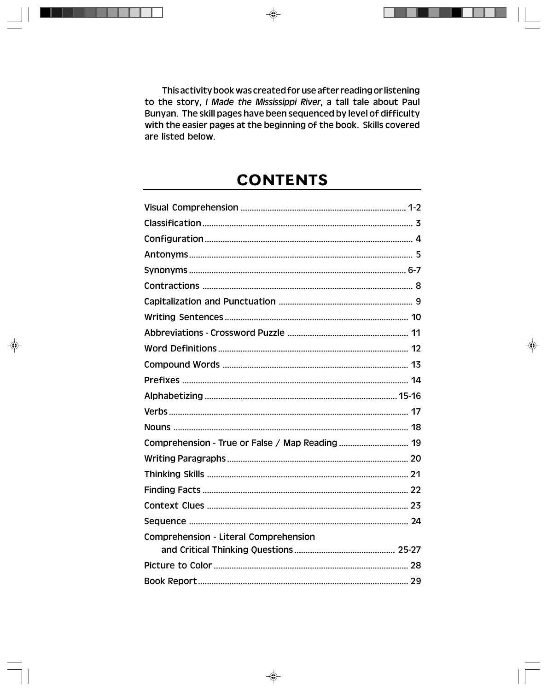This activity book was created for use after reading or listening to the story, I Made the Mississippi River, a tall tale about Paul Bunyan. The skill pages have been sequenced by level of difficulty with the easier pages at the beginning of the book. Skills covered are listed below.

#### **CONTENTS**

| Comprehension - Literal Comprehension |  |
|---------------------------------------|--|
|                                       |  |
|                                       |  |
|                                       |  |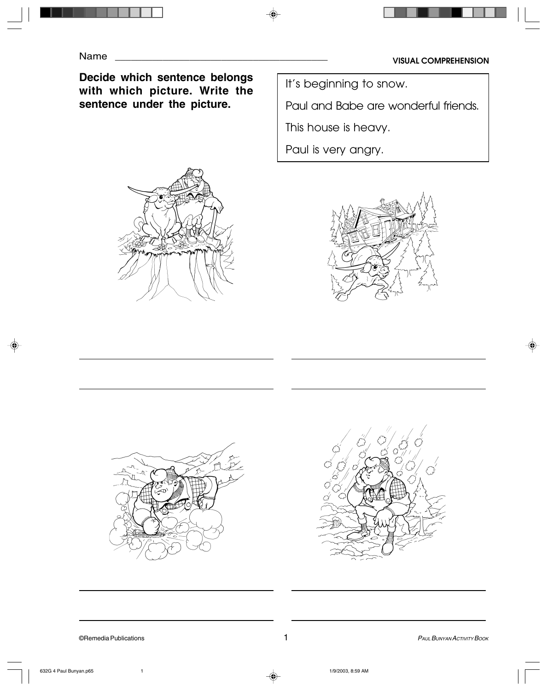**Decide which sentence belongs with which picture. Write the sentence under the picture.**



It's beginning to snow.

Paul and Babe are wonderful friends.

This house is heavy.

Paul is very angry.





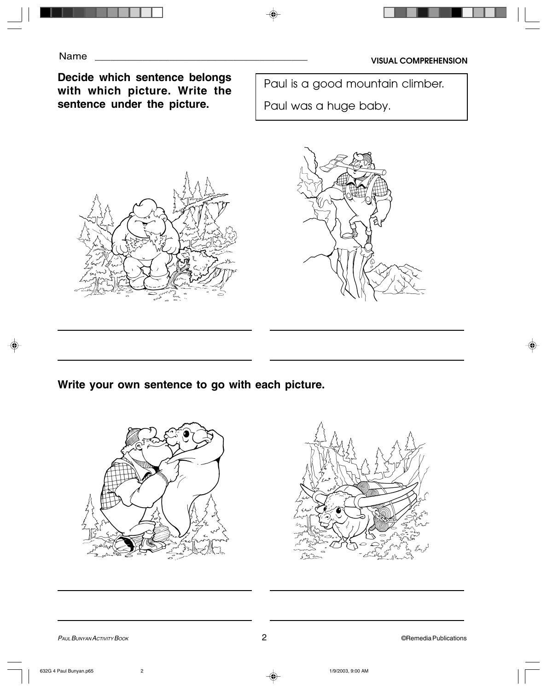#### **Decide which sentence belongs with which picture. Write the sentence under the picture.**

Paul is a good mountain climber.

Paul was a huge baby.





**Write your own sentence to go with each picture.**



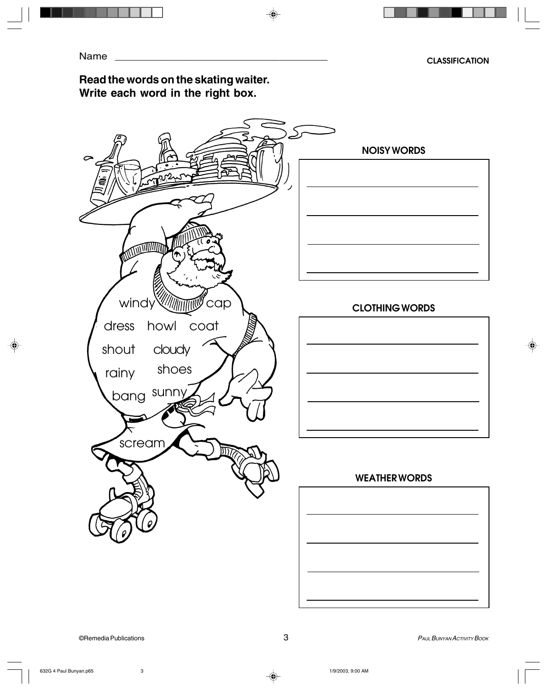#### **Read the words on the skating waiter. Write each word in the right box.**

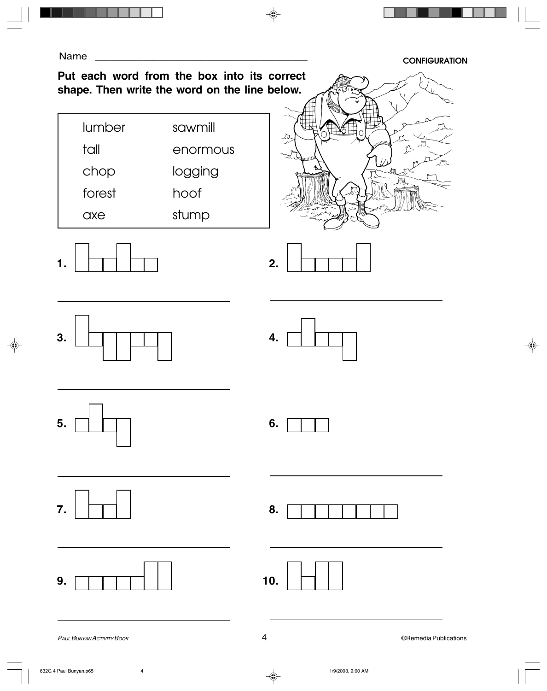**CONFIGURATION**

#### **Put each word from the box into its correct shape. Then write the word on the line below.**

| lumber | sawmill  |
|--------|----------|
| tall   | enormous |
| chop   | logging  |
| forest | hoof     |
| axe    | stump    |















**7.**